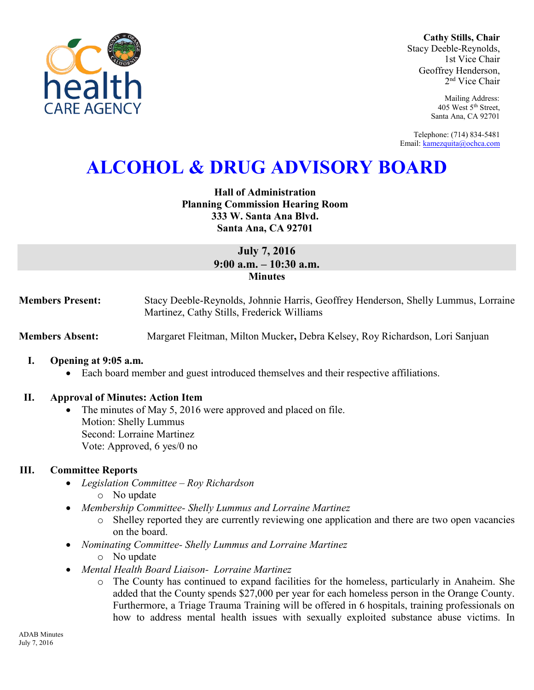

**Cathy Stills, Chair** Stacy Deeble-Reynolds, 1st Vice Chair Geoffrey Henderson, 2 nd Vice Chair

> Mailing Address: 405 West 5th Street, Santa Ana, CA 92701

Telephone: (714) 834-5481 Email: [kamezquita@ochca.com](mailto:kamezquita@ochca.com)

# **ALCOHOL & DRUG ADVISORY BOARD**

**Hall of Administration Planning Commission Hearing Room 333 W. Santa Ana Blvd. Santa Ana, CA 92701** 

# **July 7, 2016 9:00 a.m. – 10:30 a.m. Minutes**

**Members Present:** Stacy Deeble-Reynolds, Johnnie Harris, Geoffrey Henderson, Shelly Lummus, Lorraine Martinez, Cathy Stills, Frederick Williams

**Members Absent:** Margaret Fleitman, Milton Mucker**,** Debra Kelsey, Roy Richardson, Lori Sanjuan

- **I. Opening at 9:05 a.m.** 
	- Each board member and guest introduced themselves and their respective affiliations.

#### **II. Approval of Minutes: Action Item**

 The minutes of May 5, 2016 were approved and placed on file. Motion: Shelly Lummus Second: Lorraine Martinez Vote: Approved, 6 yes/0 no

#### **III. Committee Reports**

- *Legislation Committee Roy Richardson* 
	- o No update
- *Membership Committee- Shelly Lummus and Lorraine Martinez* 
	- o Shelley reported they are currently reviewing one application and there are two open vacancies on the board.
- *Nominating Committee- Shelly Lummus and Lorraine Martinez* 
	- o No update
- *Mental Health Board Liaison- Lorraine Martinez* 
	- o The County has continued to expand facilities for the homeless, particularly in Anaheim. She added that the County spends \$27,000 per year for each homeless person in the Orange County. Furthermore, a Triage Trauma Training will be offered in 6 hospitals, training professionals on how to address mental health issues with sexually exploited substance abuse victims. In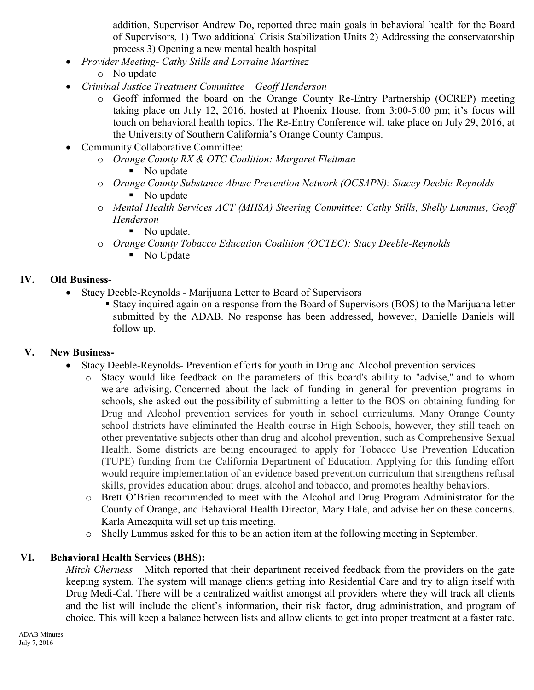addition, Supervisor Andrew Do, reported three main goals in behavioral health for the Board of Supervisors, 1) Two additional Crisis Stabilization Units 2) Addressing the conservatorship process 3) Opening a new mental health hospital

- *Provider Meeting- Cathy Stills and Lorraine Martinez* 
	- o No update
- *Criminal Justice Treatment Committee – Geoff Henderson* 
	- o Geoff informed the board on the Orange County Re-Entry Partnership (OCREP) meeting taking place on July 12, 2016, hosted at Phoenix House, from 3:00-5:00 pm; it's focus will touch on behavioral health topics. The Re-Entry Conference will take place on July 29, 2016, at the University of Southern California's Orange County Campus.
- Community Collaborative Committee:
	- o *Orange County RX & OTC Coalition: Margaret Fleitman*  • No update
	- o *Orange County Substance Abuse Prevention Network (OCSAPN): Stacey Deeble-Reynolds*  • No update
	- o *Mental Health Services ACT (MHSA) Steering Committee: Cathy Stills, Shelly Lummus, Geoff Henderson* 
		- No update.
	- o *Orange County Tobacco Education Coalition (OCTEC): Stacy Deeble-Reynolds*  • No Update

## **IV. Old Business-**

- Stacy Deeble-Reynolds Marijuana Letter to Board of Supervisors
	- Stacy inquired again on a response from the Board of Supervisors (BOS) to the Marijuana letter submitted by the ADAB. No response has been addressed, however, Danielle Daniels will follow up.

# **V. New Business-**

- Stacy Deeble-Reynolds- Prevention efforts for youth in Drug and Alcohol prevention services
	- o Stacy would like feedback on the parameters of this board's ability to "advise," and to whom we are advising. Concerned about the lack of funding in general for prevention programs in schools, she asked out the possibility of submitting a letter to the BOS on obtaining funding for Drug and Alcohol prevention services for youth in school curriculums. Many Orange County school districts have eliminated the Health course in High Schools, however, they still teach on other preventative subjects other than drug and alcohol prevention, such as Comprehensive Sexual Health. Some districts are being encouraged to apply for Tobacco Use Prevention Education (TUPE) funding from the California Department of Education. Applying for this funding effort would require implementation of an evidence based prevention curriculum that strengthens refusal skills, provides education about drugs, alcohol and tobacco, and promotes healthy behaviors.
	- o Brett O'Brien recommended to meet with the Alcohol and Drug Program Administrator for the County of Orange, and Behavioral Health Director, Mary Hale, and advise her on these concerns. Karla Amezquita will set up this meeting.
	- o Shelly Lummus asked for this to be an action item at the following meeting in September.

# **VI. Behavioral Health Services (BHS):**

*Mitch Cherness* – Mitch reported that their department received feedback from the providers on the gate keeping system. The system will manage clients getting into Residential Care and try to align itself with Drug Medi-Cal. There will be a centralized waitlist amongst all providers where they will track all clients and the list will include the client's information, their risk factor, drug administration, and program of choice. This will keep a balance between lists and allow clients to get into proper treatment at a faster rate.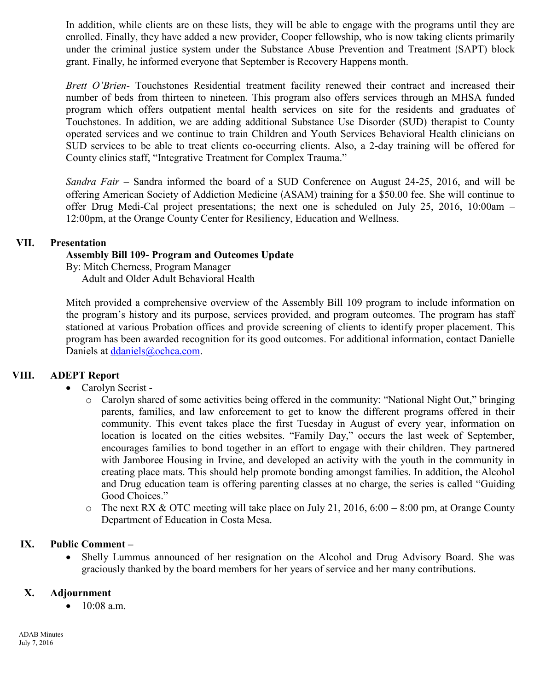In addition, while clients are on these lists, they will be able to engage with the programs until they are enrolled. Finally, they have added a new provider, Cooper fellowship, who is now taking clients primarily under the criminal justice system under the Substance Abuse Prevention and Treatment (SAPT) block grant. Finally, he informed everyone that September is Recovery Happens month.

*Brett O'Brien*- Touchstones Residential treatment facility renewed their contract and increased their number of beds from thirteen to nineteen. This program also offers services through an MHSA funded program which offers outpatient mental health services on site for the residents and graduates of Touchstones. In addition, we are adding additional Substance Use Disorder (SUD) therapist to County operated services and we continue to train Children and Youth Services Behavioral Health clinicians on SUD services to be able to treat clients co-occurring clients. Also, a 2-day training will be offered for County clinics staff, "Integrative Treatment for Complex Trauma."

*Sandra Fair* – Sandra informed the board of a SUD Conference on August 24-25, 2016, and will be offering American Society of Addiction Medicine (ASAM) training for a \$50.00 fee. She will continue to offer Drug Medi-Cal project presentations; the next one is scheduled on July 25, 2016, 10:00am – 12:00pm, at the Orange County Center for Resiliency, Education and Wellness.

## **VII. Presentation**

## **Assembly Bill 109- Program and Outcomes Update**

By: Mitch Cherness, Program Manager Adult and Older Adult Behavioral Health

Mitch provided a comprehensive overview of the Assembly Bill 109 program to include information on the program's history and its purpose, services provided, and program outcomes. The program has staff stationed at various Probation offices and provide screening of clients to identify proper placement. This program has been awarded recognition for its good outcomes. For additional information, contact Danielle Daniels at [ddaniels@ochca.com.](mailto:ddaniels@ochca.com)

## **VIII. ADEPT Report**

- Carolyn Secrist
	- o Carolyn shared of some activities being offered in the community: "National Night Out," bringing parents, families, and law enforcement to get to know the different programs offered in their community. This event takes place the first Tuesday in August of every year, information on location is located on the cities websites. "Family Day," occurs the last week of September, encourages families to bond together in an effort to engage with their children. They partnered with Jamboree Housing in Irvine, and developed an activity with the youth in the community in creating place mats. This should help promote bonding amongst families. In addition, the Alcohol and Drug education team is offering parenting classes at no charge, the series is called "Guiding Good Choices."
	- $\circ$  The next RX & OTC meeting will take place on July 21, 2016, 6:00 8:00 pm, at Orange County Department of Education in Costa Mesa.

#### **IX. Public Comment –**

 Shelly Lummus announced of her resignation on the Alcohol and Drug Advisory Board. She was graciously thanked by the board members for her years of service and her many contributions.

### **X. Adjournment**

 $\bullet$  10:08 a.m.